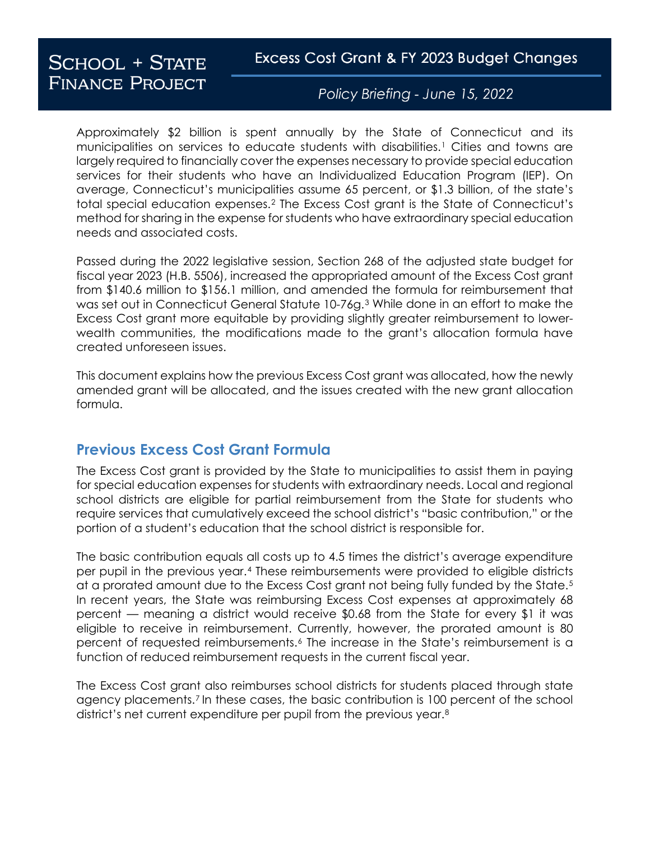Excess Cost Grant & FY 2023 Budget Changes

# **SCHOOL + STATE FINANCE PROJECT**

Policy Briefing - June 15, 2022

Approximately \$2 billion is spent annually by the State of Connecticut and its municipalities on services to educate students with disabilities.[1](#page-3-0) Cities and towns are largely required to financially cover the expenses necessary to provide special education services for their students who have an Individualized Education Program (IEP). On average, Connecticut's municipalities assume 65 percent, or \$1.3 billion, of the state's total special education expenses.[2](#page-3-1) The Excess Cost grant is the State of Connecticut's method for sharing in the expense for students who have extraordinary special education needs and associated costs.

Passed during the 2022 legislative session, Section 268 of the adjusted state budget for fiscal year 2023 (H.B. 5506), increased the appropriated amount of the Excess Cost grant from \$140.6 million to \$156.1 million, and amended the formula for reimbursement that was set out in Connecticut General Statute 10-76g.[3](#page-3-2) While done in an effort to make the Excess Cost grant more equitable by providing slightly greater reimbursement to lowerwealth communities, the modifications made to the grant's allocation formula have created unforeseen issues.

This document explains how the previous Excess Cost grant was allocated, how the newly amended grant will be allocated, and the issues created with the new grant allocation formula.

# **Previous Excess Cost Grant Formula**

The Excess Cost grant is provided by the State to municipalities to assist them in paying for special education expenses for students with extraordinary needs. Local and regional school districts are eligible for partial reimbursement from the State for students who require services that cumulatively exceed the school district's "basic contribution," or the portion of a student's education that the school district is responsible for.

The basic contribution equals all costs up to 4.5 times the district's average expenditure per pupil in the previous year.[4](#page-3-3) These reimbursements were provided to eligible districts at a prorated amount due to the Excess Cost grant not being fully funded by the State.<sup>[5](#page-3-4)</sup> In recent years, the State was reimbursing Excess Cost expenses at approximately 68 percent — meaning a district would receive \$0.68 from the State for every \$1 it was eligible to receive in reimbursement. Currently, however, the prorated amount is 80 percent of requested reimbursements.[6](#page-3-5) The increase in the State's reimbursement is a function of reduced reimbursement requests in the current fiscal year.

The Excess Cost grant also reimburses school districts for students placed through state agency placements.[7](#page-3-6) In these cases, the basic contribution is 100 percent of the school district's net current expenditure per pupil from the previous year.<sup>[8](#page-3-7)</sup>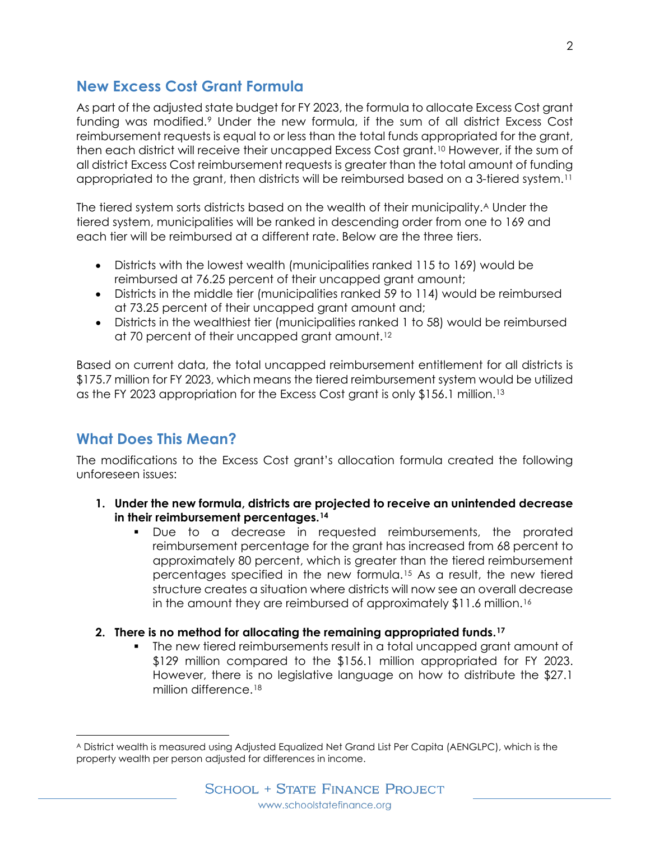### **New Excess Cost Grant Formula**

As part of the adjusted state budget for FY 2023, the formula to allocate Excess Cost grant funding was modified.[9](#page-3-8) Under the new formula, if the sum of all district Excess Cost reimbursement requests is equal to or less than the total funds appropriated for the grant, then each district will receive their uncapped Excess Cost grant.[10](#page-3-9) However, if the sum of all district Excess Cost reimbursement requests is greater than the total amount of funding appropriated to the grant, then districts will be reimbursed based on a 3-tiered system.[11](#page-3-10)

The tiered system sorts districts based on the wealth of their municipality.<sup>A</sup> Under the tiered system, municipalities will be ranked in descending order from one to 169 and each tier will be reimbursed at a different rate. Below are the three tiers.

- Districts with the lowest wealth (municipalities ranked 115 to 169) would be reimbursed at 76.25 percent of their uncapped grant amount;
- Districts in the middle tier (municipalities ranked 59 to 114) would be reimbursed at 73.25 percent of their uncapped grant amount and;
- Districts in the wealthiest tier (municipalities ranked 1 to 58) would be reimbursed at 70 percent of their uncapped grant amount.[12](#page-3-11)

Based on current data, the total uncapped reimbursement entitlement for all districts is \$175.7 million for FY 2023, which means the tiered reimbursement system would be utilized as the FY 2023 appropriation for the Excess Cost grant is only \$156.1 million.[13](#page-3-12)

# **What Does This Mean?**

l

The modifications to the Excess Cost grant's allocation formula created the following unforeseen issues:

- **1. Under the new formula, districts are projected to receive an unintended decrease in their reimbursement percentages.[14](#page-3-13)**
	- Due to a decrease in requested reimbursements, the prorated reimbursement percentage for the grant has increased from 68 percent to approximately 80 percent, which is greater than the tiered reimbursement percentages specified in the new formula.[15](#page-3-14) As a result, the new tiered structure creates a situation where districts will now see an overall decrease in the amount they are reimbursed of approximately \$11.6 million.<sup>[16](#page-3-15)</sup>

#### **2. There is no method for allocating the remaining appropriated funds.[17](#page-3-16)**

 The new tiered reimbursements result in a total uncapped grant amount of \$129 million compared to the \$156.1 million appropriated for FY 2023. However, there is no legislative language on how to distribute the \$27.1 million difference.[18](#page-3-17)

<span id="page-1-0"></span><sup>A</sup> District wealth is measured using Adjusted Equalized Net Grand List Per Capita (AENGLPC), which is the property wealth per person adjusted for differences in income.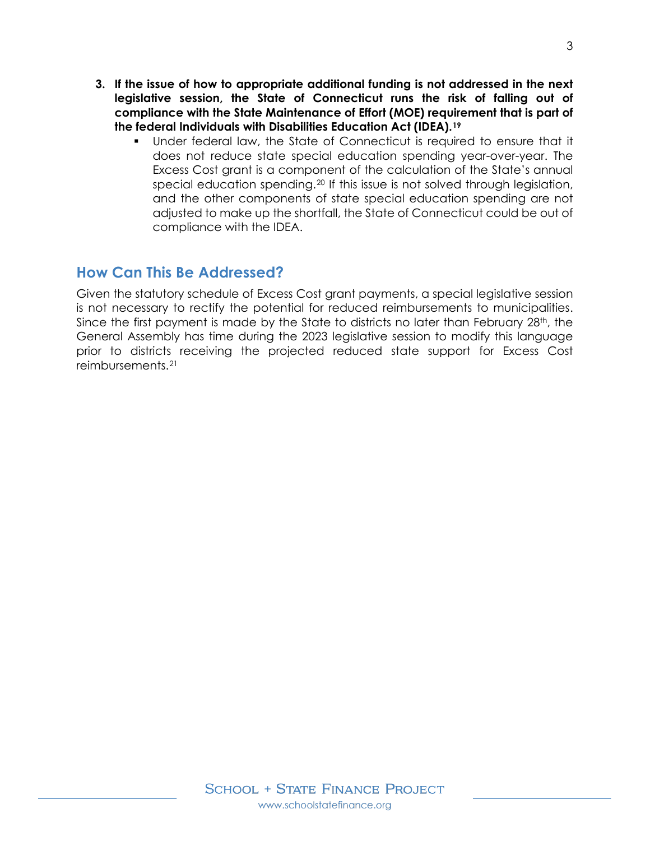- **3. If the issue of how to appropriate additional funding is not addressed in the next legislative session, the State of Connecticut runs the risk of falling out of compliance with the State Maintenance of Effort (MOE) requirement that is part of the federal Individuals with Disabilities Education Act (IDEA).[19](#page-3-18)** 
	- Under federal law, the State of Connecticut is required to ensure that it does not reduce state special education spending year-over-year. The Excess Cost grant is a component of the calculation of the State's annual special education spending.[20](#page-3-19) If this issue is not solved through legislation, and the other components of state special education spending are not adjusted to make up the shortfall, the State of Connecticut could be out of compliance with the IDEA.

### **How Can This Be Addressed?**

Given the statutory schedule of Excess Cost grant payments, a special legislative session is not necessary to rectify the potential for reduced reimbursements to municipalities. Since the first payment is made by the State to districts no later than February 28<sup>th</sup>, the General Assembly has time during the 2023 legislative session to modify this language prior to districts receiving the projected reduced state support for Excess Cost reimbursements.[21](#page-3-20)